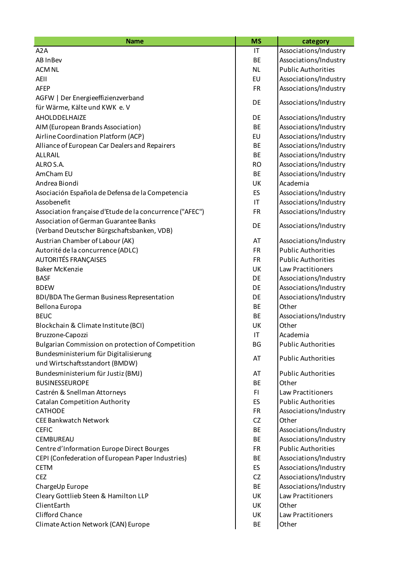| <b>Name</b>                                                 | <b>MS</b>              | category                                       |
|-------------------------------------------------------------|------------------------|------------------------------------------------|
| A <sub>2</sub> A                                            | IT                     | Associations/Industry                          |
| AB InBev                                                    | <b>BE</b>              | Associations/Industry                          |
| <b>ACM NL</b>                                               | <b>NL</b>              | <b>Public Authorities</b>                      |
| AEII                                                        | EU                     | Associations/Industry                          |
| <b>AFEP</b>                                                 | <b>FR</b>              | Associations/Industry                          |
| AGFW   Der Energieeffizienzverband                          | DE                     | Associations/Industry                          |
| für Wärme, Kälte und KWK e. V                               |                        |                                                |
| AHOLDDELHAIZE                                               | DE                     | Associations/Industry                          |
| AIM (European Brands Association)                           | <b>BE</b>              | Associations/Industry                          |
| Airline Coordination Platform (ACP)                         | EU                     | Associations/Industry                          |
| Alliance of European Car Dealers and Repairers              | <b>BE</b>              | Associations/Industry                          |
| ALLRAIL                                                     | <b>BE</b>              | Associations/Industry                          |
| ALRO S.A.                                                   | <b>RO</b>              | Associations/Industry                          |
| AmCham EU                                                   | <b>BE</b>              | Associations/Industry                          |
| Andrea Biondi                                               | UK                     | Academia                                       |
| Asociación Española de Defensa de la Competencia            | ES                     | Associations/Industry                          |
| Assobenefit                                                 | $\mathsf{I}\mathsf{T}$ | Associations/Industry                          |
| Association française d'Etude de la concurrence ("AFEC")    | <b>FR</b>              | Associations/Industry                          |
| Association of German Guarantee Banks                       | DE                     | Associations/Industry                          |
| (Verband Deutscher Bürgschaftsbanken, VDB)                  |                        |                                                |
| Austrian Chamber of Labour (AK)                             | AT                     | Associations/Industry                          |
| Autorité de la concurrence (ADLC)                           | <b>FR</b>              | <b>Public Authorities</b>                      |
| <b>AUTORITÉS FRANÇAISES</b>                                 | <b>FR</b>              | <b>Public Authorities</b>                      |
| <b>Baker McKenzie</b>                                       | UK                     | Law Practitioners                              |
| <b>BASF</b>                                                 | DE                     | Associations/Industry                          |
| <b>BDEW</b>                                                 | DE                     | Associations/Industry                          |
| BDI/BDA The German Business Representation                  | DE                     | Associations/Industry                          |
| Bellona Europa                                              | <b>BE</b>              | Other                                          |
| <b>BEUC</b>                                                 | <b>BE</b>              | Associations/Industry                          |
| Blockchain & Climate Institute (BCI)                        | UK                     | Other                                          |
| Bruzzone-Capozzi                                            | IT                     | Academia                                       |
| Bulgarian Commission on protection of Competition           | <b>BG</b>              | <b>Public Authorities</b>                      |
| Bundesministerium für Digitalisierung                       | AT                     | <b>Public Authorities</b>                      |
| und Wirtschaftsstandort (BMDW)                              |                        |                                                |
| Bundesministerium für Justiz (BMJ)<br><b>BUSINESSEUROPE</b> | AT<br><b>BE</b>        | <b>Public Authorities</b><br>Other             |
|                                                             |                        |                                                |
| Castrén & Snellman Attorneys                                | FI.                    | Law Practitioners<br><b>Public Authorities</b> |
| <b>Catalan Competition Authority</b><br><b>CATHODE</b>      | ES                     |                                                |
| <b>CEE Bankwatch Network</b>                                | <b>FR</b><br><b>CZ</b> | Associations/Industry                          |
|                                                             |                        | Other                                          |
| <b>CEFIC</b>                                                | <b>BE</b>              | Associations/Industry                          |
| CEMBUREAU                                                   | <b>BE</b>              | Associations/Industry                          |
| Centre d'Information Europe Direct Bourges                  | <b>FR</b>              | <b>Public Authorities</b>                      |
| CEPI (Confederation of European Paper Industries)           | BE                     | Associations/Industry                          |
| <b>CETM</b>                                                 | ES                     | Associations/Industry                          |
| <b>CEZ</b>                                                  | CZ                     | Associations/Industry                          |
| ChargeUp Europe                                             | <b>BE</b>              | Associations/Industry                          |
| Cleary Gottlieb Steen & Hamilton LLP                        | UK                     | Law Practitioners                              |
| ClientEarth                                                 | UK                     | Other                                          |
| <b>Clifford Chance</b>                                      | UK                     | Law Practitioners                              |
| Climate Action Network (CAN) Europe                         | BE                     | Other                                          |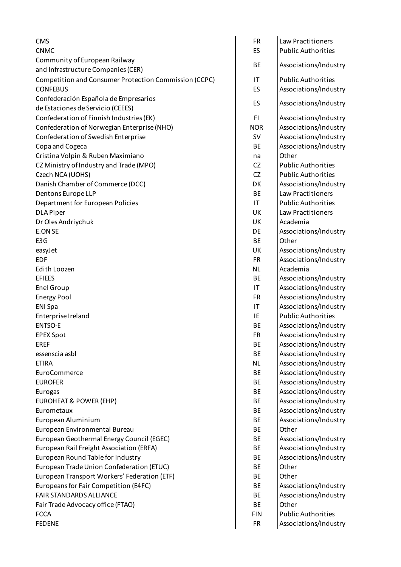| <b>CMS</b>                                                          | <b>FR</b>  | Law Practitioners         |
|---------------------------------------------------------------------|------------|---------------------------|
| <b>CNMC</b>                                                         | <b>ES</b>  | <b>Public Authorities</b> |
| Community of European Railway<br>and Infrastructure Companies (CER) | <b>BE</b>  | Associations/Industry     |
| Competition and Consumer Protection Commission (CCPC)               | IT         | <b>Public Authorities</b> |
| <b>CONFEBUS</b>                                                     | <b>ES</b>  | Associations/Industry     |
| Confederación Española de Empresarios                               |            |                           |
| de Estaciones de Servicio (CEEES)                                   | ES         | Associations/Industry     |
| Confederation of Finnish Industries (EK)                            | FI.        | Associations/Industry     |
| Confederation of Norwegian Enterprise (NHO)                         | <b>NOR</b> | Associations/Industry     |
| Confederation of Swedish Enterprise                                 | <b>SV</b>  | Associations/Industry     |
| Copa and Cogeca                                                     | BE         | Associations/Industry     |
| Cristina Volpin & Ruben Maximiano                                   | na         | Other                     |
| CZ Ministry of Industry and Trade (MPO)                             | <b>CZ</b>  | <b>Public Authorities</b> |
| Czech NCA (UOHS)                                                    | <b>CZ</b>  | <b>Public Authorities</b> |
| Danish Chamber of Commerce (DCC)                                    | DK         | Associations/Industry     |
| Dentons Europe LLP                                                  | <b>BE</b>  | <b>Law Practitioners</b>  |
| Department for European Policies                                    | IT         | <b>Public Authorities</b> |
| <b>DLA Piper</b>                                                    | UK         | <b>Law Practitioners</b>  |
| Dr Oles Andriychuk                                                  | UK         | Academia                  |
| <b>E.ON SE</b>                                                      | DE         | Associations/Industry     |
| E3G                                                                 | <b>BE</b>  | Other                     |
| easyJet                                                             | UK         | Associations/Industry     |
| <b>EDF</b>                                                          | <b>FR</b>  | Associations/Industry     |
| Edith Loozen                                                        | <b>NL</b>  | Academia                  |
| <b>EFIEES</b>                                                       | BE         | Associations/Industry     |
| Enel Group                                                          | IT         | Associations/Industry     |
| <b>Energy Pool</b>                                                  | <b>FR</b>  | Associations/Industry     |
| <b>ENI Spa</b>                                                      | IT         | Associations/Industry     |
| Enterprise Ireland                                                  | IE         | <b>Public Authorities</b> |
| <b>ENTSO-E</b>                                                      | <b>BE</b>  | Associations/Industry     |
| <b>EPEX Spot</b>                                                    | <b>FR</b>  | Associations/Industry     |
| <b>EREF</b>                                                         | BE         | Associations/Industry     |
| essenscia asbl                                                      | <b>BE</b>  | Associations/Industry     |
| <b>ETIRA</b>                                                        | <b>NL</b>  | Associations/Industry     |
| EuroCommerce                                                        | BE         | Associations/Industry     |
| <b>EUROFER</b>                                                      | <b>BE</b>  | Associations/Industry     |
| Eurogas                                                             | BE         | Associations/Industry     |
| <b>EUROHEAT &amp; POWER (EHP)</b>                                   | BE         | Associations/Industry     |
| Eurometaux                                                          | <b>BE</b>  | Associations/Industry     |
| European Aluminium                                                  | BE         | Associations/Industry     |
| European Environmental Bureau                                       | BE         | Other                     |
| European Geothermal Energy Council (EGEC)                           | <b>BE</b>  | Associations/Industry     |
| European Rail Freight Association (ERFA)                            | BE         | Associations/Industry     |
| European Round Table for Industry                                   | BE         | Associations/Industry     |
| European Trade Union Confederation (ETUC)                           | <b>BE</b>  | Other                     |
| European Transport Workers' Federation (ETF)                        | BE         | Other                     |
| Europeans for Fair Competition (E4FC)                               | BE         | Associations/Industry     |
| FAIR STANDARDS ALLIANCE                                             | <b>BE</b>  | Associations/Industry     |
| Fair Trade Advocacy office (FTAO)                                   | BE         | Other                     |
| <b>FCCA</b>                                                         | <b>FIN</b> | <b>Public Authorities</b> |
| <b>FEDENE</b>                                                       | <b>FR</b>  | Associations/Industry     |
|                                                                     |            |                           |

| FR  | Law Practitioners         |
|-----|---------------------------|
| ES  | <b>Public Authorities</b> |
| ВE  | Associations/Industry     |
| ΙT  | <b>Public Authorities</b> |
| ES  | Associations/Industry     |
| ES  | Associations/Industry     |
| FI  | Associations/Industry     |
| OR  | Associations/Industry     |
| SV  | Associations/Industry     |
| ВE  | Associations/Industry     |
| na  | Other                     |
| CZ  | <b>Public Authorities</b> |
| CZ  | <b>Public Authorities</b> |
| эĸ  | Associations/Industry     |
| ВE  | <b>Law Practitioners</b>  |
| ΙT  | <b>Public Authorities</b> |
| JK  | <b>Law Practitioners</b>  |
| JK  | Academia                  |
| ЭE  | Associations/Industry     |
| BЕ  | Other                     |
| JK  | Associations/Industry     |
| FR  | Associations/Industry     |
| ٧L  | Academia                  |
| ВE  | Associations/Industry     |
| ΙT  | Associations/Industry     |
| FR  | Associations/Industry     |
| ΙT  | Associations/Industry     |
| ΙE  | <b>Public Authorities</b> |
| ВE  | Associations/Industry     |
| FR  | Associations/Industry     |
| ВE  | Associations/Industry     |
| ВE  | Associations/Industry     |
| ٧L  | Associations/Industry     |
| ВE  | Associations/Industry     |
| ВE  | Associations/Industry     |
| ВE  | Associations/Industry     |
| ВE  | Associations/Industry     |
| ВE  | Associations/Industry     |
| ΒE  | Associations/Industry     |
| ВE  | Other                     |
| ВE  | Associations/Industry     |
| ВE  | Associations/Industry     |
| ВE  | Associations/Industry     |
| ВE  | Other                     |
| ВE  | Other                     |
| ВE  | Associations/Industry     |
| ВE  | Associations/Industry     |
| ВE  | Other                     |
| ΞIΝ | <b>Public Authorities</b> |
| FR  | Associations/Industry     |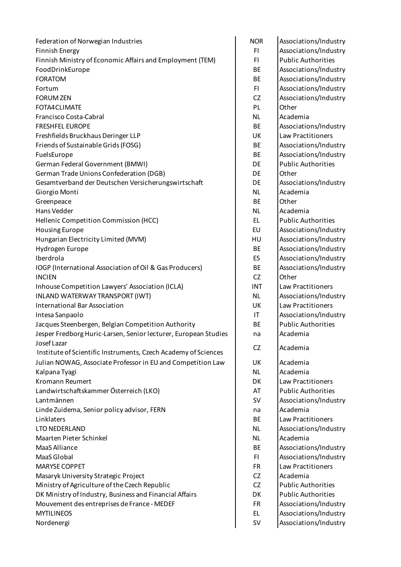Federation of Norwegian Industries North Communications North Associations/Industry Finnish Energy FI Associations/Industry Finnish Ministry of Economic Affairs and Employment (TEM) FI Public Authorities FoodDrinkEurope **BE** Associations/Industry FORATOM **BE** Associations/Industry Fortum Fortum Figure 1, 1999 and 1999 and 1999 and 1999 and 1999 and 1999 and 1999 and 1999 and 199 FORUM ZEN CONTROLLER CONTROLLER CONTROLLER CONTROLLER CONTROLLER CONTROLLER CONTROLLER CONTROLLER CONTROLLER CONTROLLER CONTROLLER CONTROLLER CONTROLLER CONTROLLER CONTROLLER CONTROLLER CONTROLLER CONTROLLER CONTROLLER CON FOTA4CLIMATE **PL** Other Francisco Costa-Cabral NL Academia FRESHFEL EUROPE **BE** Associations/Industry Freshfields Bruckhaus Deringer LLP UK Law Practitioners Friends of Sustainable Grids (FOSG) BE Associations/Industry FuelsEurope **BE** Associations/Industry German Federal Government (BMWI) Contract Contract Law Law DE Public Authorities German Trade Unions Confederation (DGB) DE Other Gesamtverband der Deutschen Versicherungswirtschaft Fig. DE Associations/Industry Giorgio Monti dell'Academia di Secolo di Secolo di Secolo di Secolo di Secolo di Secolo di Secolo di Secolo di Greenpeace and the state of the state of the state of the state of the state of the state of the state of the state of the state of the state of the state of the state of the state of the state of the state of the state of Hans Vedder Number of the Number of the Number of the Number of the Number of the Number of the Number of the N Hellenic Competition Commission (HCC) EL Public Authorities Housing Europe **EU** Associations/Industry Hungarian Electricity Limited (MVM) HU Associations/Industry Hydrogen Europe **BE** Associations/Industry Iberdrola ES Associations/Industry IOGP (International Association of Oil & Gas Producers) BE Associations/Industry INCIEN CZ Other Inhouse Competition Lawyers' Association (ICLA) **INT** Law Practitioners INLAND WATERWAY TRANSPORT (IWT) NE RESERVENT ASSOCIATIONS AND MULTIMUM ASSOCIATIONS AND MULTIMUM ASSOCIATIONS AND MU International Bar Association UK Law Practitioners Intesa Sanpaolo IT Associations/Industry Jacques Steenbergen, Belgian Competition Authority **BE** Public Authorities Jesper Fredborg Huric-Larsen, Senior lecturer, European Studies | na | Academia Josef Lazar Institute of Scientific Instruments, Czech Academy of Sciences CZ Academia Julian NOWAG, Associate Professor in EU and Competition Law | UK | Academia Kalpana Tyagi Nashrida Nashrida Nashrida Nashrida Nashrida Nashrida Nashrida Nashrida Nashrida Nashrida Nashrida N Kromann Reumert DK Law Practitioners Landwirtschaftskammer Österreich (LKO) AT Public Authorities Lantmännen SV Associations/Industry Linde Zuidema, Senior policy advisor, FERN na Academia Linklaters BE Law Practitioners LTO NEDERLAND NU Associations/Industry Maarten Pieter Schinkel Number 1988 (Number 2008) 1 NL Academia MaaS Alliance **BE** Associations/Industry MaaS Global FI Associations/Industry MARYSE COPPET FRIDE COPPET AND CONTROL CONTROL CONTROL CONTROL CONTROL CONTROL CONTROL CONTROL CONTROL CONTROL CONTROL CONTROL CONTROL CONTROL CONTROL CONTROL CONTROL CONTROL CONTROL CONTROL CONTROL CONTROL CONTROL CONTROL Masaryk University Strategic Project CZ Academia Ministry of Agriculture of the Czech Republic CZ Public Authorities DK Ministry of Industry, Business and Financial Affairs **DK** Public Authorities Mouvement des entreprises de France - MEDEF FR Associations/Industry MYTILINEOS **EL Associations/Industry** Nordenergi SV Associations/Industry